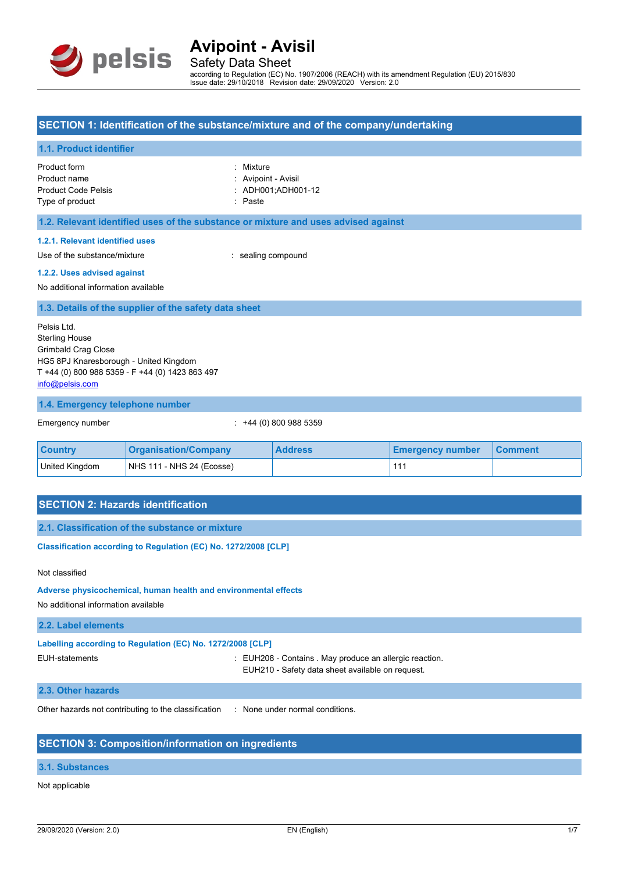

Safety Data Sheet according to Regulation (EC) No. 1907/2006 (REACH) with its amendment Regulation (EU) 2015/830 Issue date: 29/10/2018 Revision date: 29/09/2020 Version: 2.0

#### **SECTION 1: Identification of the substance/mixture and of the company/undertaking**

#### **1.1. Product identifier**

Product form **: Mixture** Product name : Avipoint - Avisil Product Code Pelsis : ADH001:ADH001-12 Type of product in the contract of the product in the contract of the Paste

## **1.2. Relevant identified uses of the substance or mixture and uses advised against**

#### **1.2.1. Relevant identified uses**

Use of the substance/mixture in the substance/mixture in the sealing compound

#### **1.2.2. Uses advised against**

No additional information available

**1.3. Details of the supplier of the safety data sheet**

Pelsis Ltd. Sterling House Grimbald Crag Close HG5 8PJ Knaresborough - United Kingdom T +44 (0) 800 988 5359 - F +44 (0) 1423 863 497 [info@pelsis.com](mailto:info@pelsis.com)

#### **1.4. Emergency telephone number**

Emergency number : +44 (0) 800 988 5359

| <b>Country</b> | <b>Organisation/Company</b> | <b>Address</b> | <b>Emergency number</b> | <b>Comment</b> |
|----------------|-----------------------------|----------------|-------------------------|----------------|
| United Kingdom | NHS 111 - NHS 24 (Ecosse)   |                |                         |                |

### **SECTION 2: Hazards identification**

**2.1. Classification of the substance or mixture**

**Classification according to Regulation (EC) No. 1272/2008 [CLP]** 

#### Not classified

**Adverse physicochemical, human health and environmental effects**

No additional information available

#### **2.2. Label elements**

**Labelling according to Regulation (EC) No. 1272/2008 [CLP]**

EUH-statements : EUH208 - Contains . May produce an allergic reaction. EUH210 - Safety data sheet available on request.

#### **2.3. Other hazards**

Other hazards not contributing to the classification : None under normal conditions.

## **SECTION 3: Composition/information on ingredients**

### **3.1. Substances**

#### Not applicable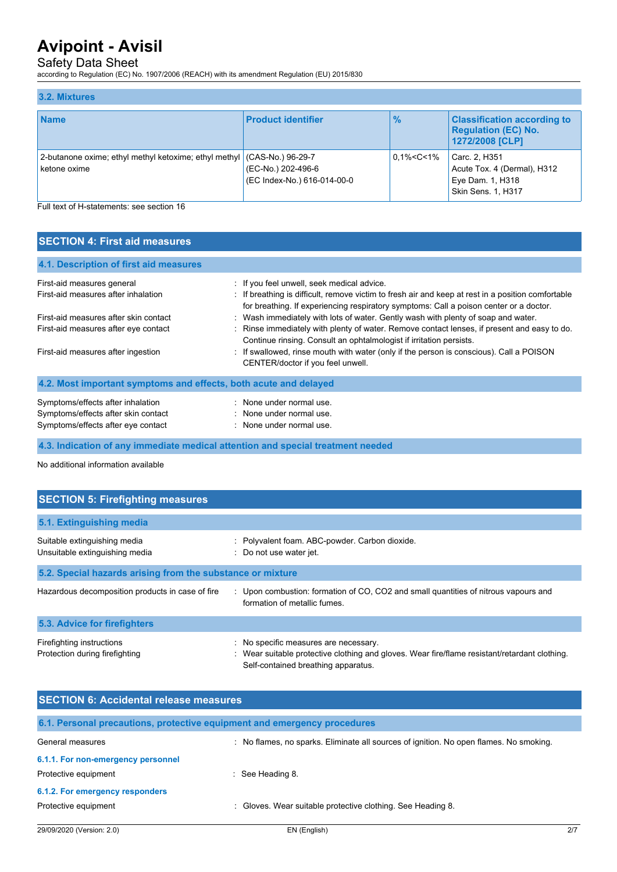## Safety Data Sheet

according to Regulation (EC) No. 1907/2006 (REACH) with its amendment Regulation (EU) 2015/830

| 3.2. Mixtures                                                                           |                                                   |                   |                                                                                        |
|-----------------------------------------------------------------------------------------|---------------------------------------------------|-------------------|----------------------------------------------------------------------------------------|
| <b>Name</b>                                                                             | <b>Product identifier</b>                         | $\frac{9}{6}$     | <b>Classification according to</b><br><b>Requlation (EC) No.</b><br>1272/2008 [CLP]    |
| 2-butanone oxime; ethyl methyl ketoxime; ethyl methyl (CAS-No.) 96-29-7<br>ketone oxime | (EC-No.) 202-496-6<br>(EC Index-No.) 616-014-00-0 | $0.1\% < C < 1\%$ | Carc. 2, H351<br>Acute Tox. 4 (Dermal), H312<br>Eye Dam. 1, H318<br>Skin Sens. 1, H317 |

Full text of H-statements: see section 16

| <b>SECTION 4: First aid measures</b>                                                                           |                                                                                                                                                                                                                                                       |  |  |
|----------------------------------------------------------------------------------------------------------------|-------------------------------------------------------------------------------------------------------------------------------------------------------------------------------------------------------------------------------------------------------|--|--|
| 4.1. Description of first aid measures                                                                         |                                                                                                                                                                                                                                                       |  |  |
| First-aid measures general<br>First-aid measures after inhalation                                              | : If you feel unwell, seek medical advice.<br>: If breathing is difficult, remove victim to fresh air and keep at rest in a position comfortable<br>for breathing. If experiencing respiratory symptoms: Call a poison center or a doctor.            |  |  |
| First-aid measures after skin contact<br>First-aid measures after eye contact                                  | : Wash immediately with lots of water. Gently wash with plenty of soap and water.<br>Rinse immediately with plenty of water. Remove contact lenses, if present and easy to do.<br>Continue rinsing. Consult an ophtalmologist if irritation persists. |  |  |
| First-aid measures after ingestion                                                                             | : If swallowed, rinse mouth with water (only if the person is conscious). Call a POISON<br>CENTER/doctor if you feel unwell.                                                                                                                          |  |  |
| 4.2. Most important symptoms and effects, both acute and delayed                                               |                                                                                                                                                                                                                                                       |  |  |
| Symptoms/effects after inhalation<br>Symptoms/effects after skin contact<br>Symptoms/effects after eye contact | : None under normal use.<br>: None under normal use.<br>: None under normal use.                                                                                                                                                                      |  |  |

**4.3. Indication of any immediate medical attention and special treatment needed**

No additional information available

| <b>SECTION 5: Firefighting measures</b>                        |                                                                                                                                                                             |  |  |
|----------------------------------------------------------------|-----------------------------------------------------------------------------------------------------------------------------------------------------------------------------|--|--|
| 5.1. Extinguishing media                                       |                                                                                                                                                                             |  |  |
| Suitable extinguishing media<br>Unsuitable extinguishing media | : Polyvalent foam. ABC-powder. Carbon dioxide.<br>: Do not use water jet.                                                                                                   |  |  |
| 5.2. Special hazards arising from the substance or mixture     |                                                                                                                                                                             |  |  |
| Hazardous decomposition products in case of fire               | : Upon combustion: formation of CO, CO2 and small quantities of nitrous vapours and<br>formation of metallic fumes.                                                         |  |  |
| 5.3. Advice for firefighters                                   |                                                                                                                                                                             |  |  |
| Firefighting instructions<br>Protection during firefighting    | : No specific measures are necessary.<br>Wear suitable protective clothing and gloves. Wear fire/flame resistant/retardant clothing.<br>Self-contained breathing apparatus. |  |  |

| <b>SECTION 6: Accidental release measures</b>                            |                                                                                      |  |  |
|--------------------------------------------------------------------------|--------------------------------------------------------------------------------------|--|--|
| 6.1. Personal precautions, protective equipment and emergency procedures |                                                                                      |  |  |
| General measures                                                         | No flames, no sparks. Eliminate all sources of ignition. No open flames. No smoking. |  |  |
| 6.1.1. For non-emergency personnel                                       |                                                                                      |  |  |
| Protective equipment                                                     | $\therefore$ See Heading 8.                                                          |  |  |
| 6.1.2. For emergency responders                                          |                                                                                      |  |  |
| Protective equipment                                                     | Gloves. Wear suitable protective clothing. See Heading 8.                            |  |  |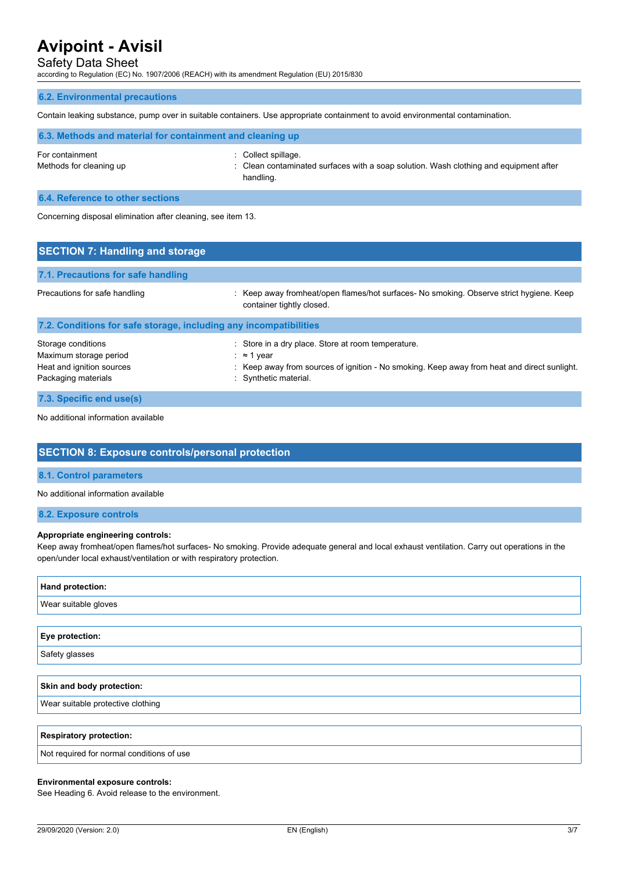## Safety Data Sheet

according to Regulation (EC) No. 1907/2006 (REACH) with its amendment Regulation (EU) 2015/830

#### **6.2. Environmental precautions**

Contain leaking substance, pump over in suitable containers. Use appropriate containment to avoid environmental contamination.

| 6.3. Methods and material for containment and cleaning up |                                                                                                                           |
|-----------------------------------------------------------|---------------------------------------------------------------------------------------------------------------------------|
| For containment<br>Methods for cleaning up                | : Collect spillage.<br>: Clean contaminated surfaces with a soap solution. Wash clothing and equipment after<br>handling. |

**6.4. Reference to other sections**

Concerning disposal elimination after cleaning, see item 13.

| <b>SECTION 7: Handling and storage</b>                                                           |                                                                                                                                                                                                  |
|--------------------------------------------------------------------------------------------------|--------------------------------------------------------------------------------------------------------------------------------------------------------------------------------------------------|
| 7.1. Precautions for safe handling                                                               |                                                                                                                                                                                                  |
| Precautions for safe handling                                                                    | : Keep away fromheat/open flames/hot surfaces- No smoking. Observe strict hygiene. Keep<br>container tightly closed.                                                                             |
| 7.2. Conditions for safe storage, including any incompatibilities                                |                                                                                                                                                                                                  |
| Storage conditions<br>Maximum storage period<br>Heat and ignition sources<br>Packaging materials | : Store in a dry place. Store at room temperature.<br>: $\approx$ 1 year<br>: Keep away from sources of ignition - No smoking. Keep away from heat and direct sunlight.<br>: Synthetic material. |
| 7.3. Specific end use(s)                                                                         |                                                                                                                                                                                                  |

No additional information available

## **SECTION 8: Exposure controls/personal protection**

#### **8.1. Control parameters**

No additional information available

#### **8.2. Exposure controls**

#### **Appropriate engineering controls:**

Keep away fromheat/open flames/hot surfaces- No smoking. Provide adequate general and local exhaust ventilation. Carry out operations in the open/under local exhaust/ventilation or with respiratory protection.

| Hand protection:                          |
|-------------------------------------------|
| Wear suitable gloves                      |
|                                           |
| Eye protection:                           |
| Safety glasses                            |
|                                           |
| Skin and body protection:                 |
| Wear suitable protective clothing         |
|                                           |
| <b>Respiratory protection:</b>            |
| Not required for normal conditions of use |

#### **Environmental exposure controls:**

See Heading 6. Avoid release to the environment.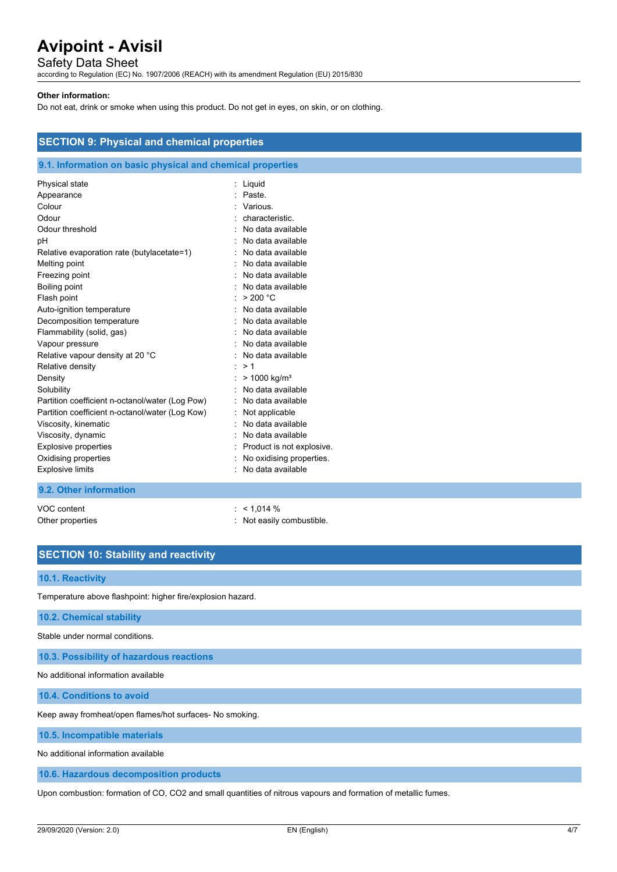## Safety Data Sheet

according to Regulation (EC) No. 1907/2006 (REACH) with its amendment Regulation (EU) 2015/830

#### **Other information:**

Do not eat, drink or smoke when using this product. Do not get in eyes, on skin, or on clothing.

| <b>SECTION 9: Physical and chemical properties</b>                                                                                                                                                                                                                                                                                                                                                                                                                                         |                                                                                                                                                                                                                                                                                                                                                                                                    |  |
|--------------------------------------------------------------------------------------------------------------------------------------------------------------------------------------------------------------------------------------------------------------------------------------------------------------------------------------------------------------------------------------------------------------------------------------------------------------------------------------------|----------------------------------------------------------------------------------------------------------------------------------------------------------------------------------------------------------------------------------------------------------------------------------------------------------------------------------------------------------------------------------------------------|--|
| 9.1. Information on basic physical and chemical properties                                                                                                                                                                                                                                                                                                                                                                                                                                 |                                                                                                                                                                                                                                                                                                                                                                                                    |  |
| Physical state<br>Appearance<br>Colour<br>Odour<br>Odour threshold<br>рH<br>Relative evaporation rate (butylacetate=1)<br>Melting point<br>Freezing point<br>Boiling point<br>Flash point<br>Auto-ignition temperature<br>Decomposition temperature<br>Flammability (solid, gas)<br>Vapour pressure<br>Relative vapour density at 20 °C<br>Relative density<br>Density<br>Solubility<br>Partition coefficient n-octanol/water (Log Pow)<br>Partition coefficient n-octanol/water (Log Kow) | : Liquid<br>Paste.<br>Various.<br>characteristic.<br>No data available<br>No data available<br>No data available<br>No data available<br>No data available<br>No data available<br>> 200 °C<br>No data available<br>No data available<br>No data available<br>No data available<br>No data available<br>>1<br>> 1000 kg/m <sup>3</sup><br>No data available<br>No data available<br>Not applicable |  |
| Viscosity, kinematic<br>Viscosity, dynamic<br>Explosive properties<br>Oxidising properties                                                                                                                                                                                                                                                                                                                                                                                                 | No data available<br>No data available<br>Product is not explosive.<br>No oxidising properties.                                                                                                                                                                                                                                                                                                    |  |
| <b>Explosive limits</b><br>9.2. Other information                                                                                                                                                                                                                                                                                                                                                                                                                                          | No data available                                                                                                                                                                                                                                                                                                                                                                                  |  |
|                                                                                                                                                                                                                                                                                                                                                                                                                                                                                            |                                                                                                                                                                                                                                                                                                                                                                                                    |  |

VOC content  $\sim$  1,014 %

Other properties : Not easily combustible.

## **SECTION 10: Stability and reactivity**

#### **10.1. Reactivity**

Temperature above flashpoint: higher fire/explosion hazard.

**10.2. Chemical stability**

Stable under normal conditions.

**10.3. Possibility of hazardous reactions**

No additional information available

**10.4. Conditions to avoid**

Keep away fromheat/open flames/hot surfaces- No smoking.

**10.5. Incompatible materials**

No additional information available

**10.6. Hazardous decomposition products**

Upon combustion: formation of CO, CO2 and small quantities of nitrous vapours and formation of metallic fumes.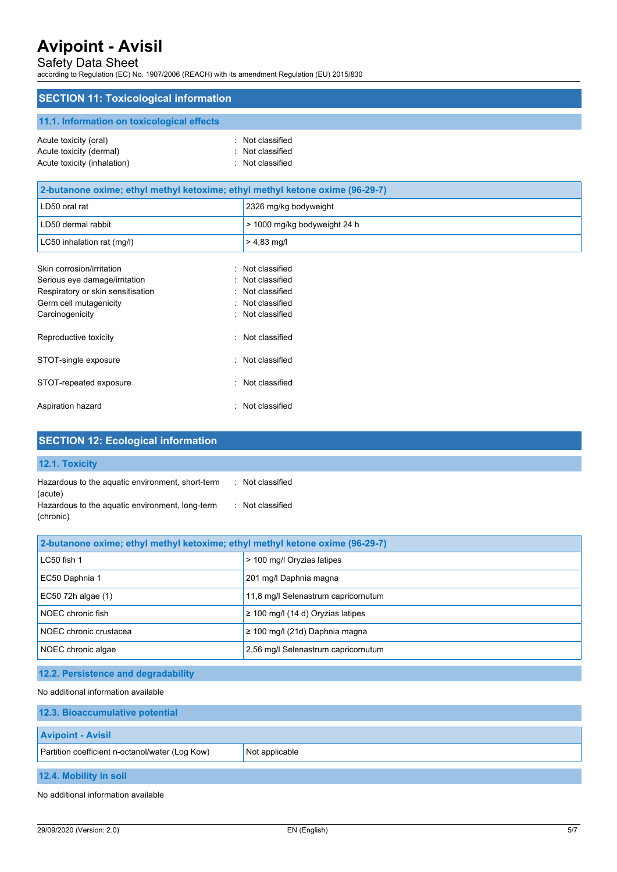## Safety Data Sheet

according to Regulation (EC) No. 1907/2006 (REACH) with its amendment Regulation (EU) 2015/830

## **SECTION 11: Toxicological information**

## **11.1. Information on toxicological effects**

| Acute toxicity (oral)       | : Not classified |
|-----------------------------|------------------|
| Acute toxicity (dermal)     | : Not classified |
| Acute toxicity (inhalation) | : Not classified |

| 2-butanone oxime; ethyl methyl ketoxime; ethyl methyl ketone oxime (96-29-7) |                              |  |
|------------------------------------------------------------------------------|------------------------------|--|
| LD50 oral rat                                                                | 2326 mg/kg bodyweight        |  |
| LD50 dermal rabbit                                                           | > 1000 mg/kg bodyweight 24 h |  |
| LC50 inhalation rat (mg/l)                                                   | $> 4.83$ mg/l                |  |
| Skin corrosion/irritation                                                    | : Not classified             |  |
| Serious eye damage/irritation                                                | : Not classified             |  |
| Respiratory or skin sensitisation                                            | : Not classified             |  |
| Germ cell mutagenicity                                                       | : Not classified             |  |
| Carcinogenicity                                                              | : Not classified             |  |
| Reproductive toxicity<br>$\sim$                                              | Not classified               |  |
| STOT-single exposure                                                         | : Not classified             |  |
| STOT-repeated exposure<br>۰.                                                 | Not classified               |  |
| Aspiration hazard                                                            | : Not classified             |  |

| <b>SECTION 12: Ecological information</b>                    |                  |
|--------------------------------------------------------------|------------------|
| 12.1. Toxicity                                               |                  |
| Hazardous to the aquatic environment, short-term<br>(acute)  | : Not classified |
| Hazardous to the aquatic environment, long-term<br>(chronic) | : Not classified |

| 2-butanone oxime; ethyl methyl ketoxime; ethyl methyl ketone oxime (96-29-7) |                                        |  |
|------------------------------------------------------------------------------|----------------------------------------|--|
| LC50 fish 1                                                                  | > 100 mg/l Oryzias latipes             |  |
| EC50 Daphnia 1                                                               | 201 mg/l Daphnia magna                 |  |
| EC50 72h algae (1)                                                           | 11,8 mg/l Selenastrum capricornutum    |  |
| NOEC chronic fish                                                            | $\geq$ 100 mg/l (14 d) Oryzias latipes |  |
| NOEC chronic crustacea                                                       | $\geq$ 100 mg/l (21d) Daphnia magna    |  |
| NOEC chronic algae                                                           | 2,56 mg/l Selenastrum capricornutum    |  |

## **12.2. Persistence and degradability**

No additional information available

| 12.3. Bioaccumulative potential                                   |  |  |
|-------------------------------------------------------------------|--|--|
| <b>Avipoint - Avisil</b>                                          |  |  |
| Partition coefficient n-octanol/water (Log Kow)<br>Not applicable |  |  |
| 12.4. Mobility in soil                                            |  |  |

No additional information available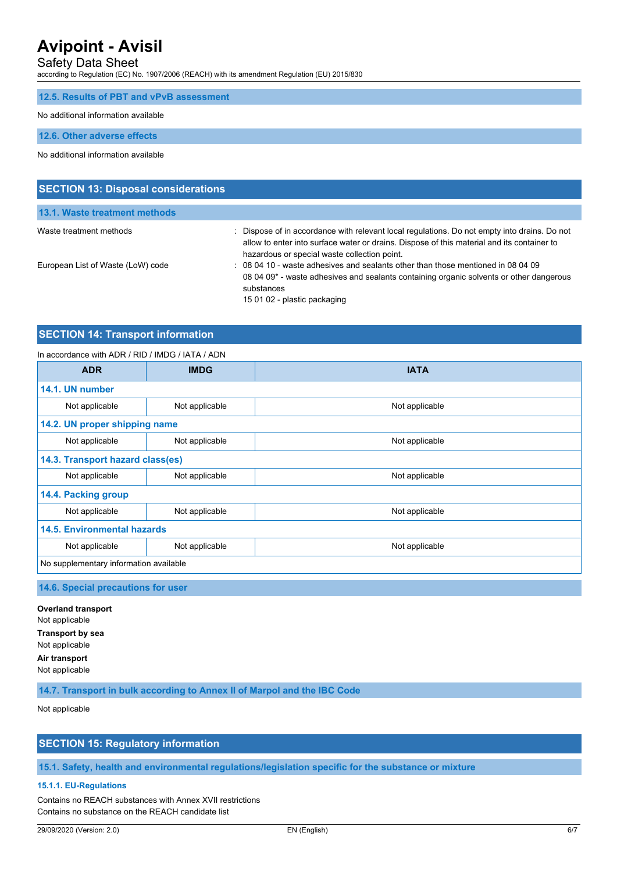## Safety Data Sheet

according to Regulation (EC) No. 1907/2006 (REACH) with its amendment Regulation (EU) 2015/830

| 12.5. Results of PBT and vPvB assessment |  |  |  |  |  |  |
|------------------------------------------|--|--|--|--|--|--|
|------------------------------------------|--|--|--|--|--|--|

No additional information available

**12.6. Other adverse effects**

No additional information available

| <b>SECTION 13: Disposal considerations</b> |                                                                                                                                                                                                                                            |  |  |
|--------------------------------------------|--------------------------------------------------------------------------------------------------------------------------------------------------------------------------------------------------------------------------------------------|--|--|
| 13.1. Waste treatment methods              |                                                                                                                                                                                                                                            |  |  |
| Waste treatment methods                    | : Dispose of in accordance with relevant local regulations. Do not empty into drains. Do not<br>allow to enter into surface water or drains. Dispose of this material and its container to<br>hazardous or special waste collection point. |  |  |
| European List of Waste (LoW) code          | : 08 04 10 - waste adhesives and sealants other than those mentioned in 08 04 09<br>08 04 09 <sup>*</sup> - waste adhesives and sealants containing organic solvents or other dangerous<br>substances<br>15 01 02 - plastic packaging      |  |  |

## **SECTION 14: Transport information**

#### In accordance with ADR / RID / IMDG / IATA / ADN

| <b>ADR</b>                             | <b>IMDG</b>    | <b>IATA</b>    |  |  |
|----------------------------------------|----------------|----------------|--|--|
| 14.1. UN number                        |                |                |  |  |
| Not applicable                         | Not applicable | Not applicable |  |  |
| 14.2. UN proper shipping name          |                |                |  |  |
| Not applicable                         | Not applicable | Not applicable |  |  |
| 14.3. Transport hazard class(es)       |                |                |  |  |
| Not applicable                         | Not applicable | Not applicable |  |  |
| 14.4. Packing group                    |                |                |  |  |
| Not applicable                         | Not applicable | Not applicable |  |  |
| <b>14.5. Environmental hazards</b>     |                |                |  |  |
| Not applicable                         | Not applicable | Not applicable |  |  |
| No supplementary information available |                |                |  |  |

**14.6. Special precautions for user**

**Overland transport** Not applicable **Transport by sea** Not applicable **Air transport** Not applicable

**14.7. Transport in bulk according to Annex II of Marpol and the IBC Code**

Not applicable

## **SECTION 15: Regulatory information**

**15.1. Safety, health and environmental regulations/legislation specific for the substance or mixture**

#### **15.1.1. EU-Regulations**

Contains no REACH substances with Annex XVII restrictions Contains no substance on the REACH candidate list